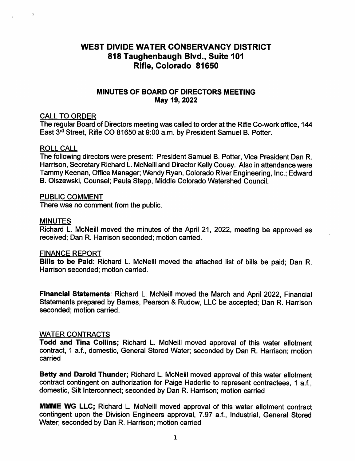# WEST DIVIDE WATER CONSERVANCY DISTRICT 818 Taughenbaugh Blvd., Suite 101 Rifle, Colorado 81650

# MINUTES OF BOARD OF DIRECTORS MEETING May 19, 2022

# CALL TO ORDER

The regular Board of Directors meeting was called to order at the Rifle Co-work office, 144 East 3<sup>rd</sup> Street, Rifle CO 81650 at 9:00 a.m. by President Samuel B. Potter.

#### ROLL CALL

 $\overline{\mathbf{r}}$ 

The following directors were present: President Samuel B. Potter, Vice President Dan R. Harrison, Secretary Richard L. McNeill and Director Kelly Couey. Also in attendance were Tammy Keenan, Office Manager; Wendy Ryan, Colorado River Engineering, Inc.; Edward B. Olszewski, Counsel; Paula Stepp, Middle Colorado Watershed Council.

#### PUBLIC COMMENT

There was no comment from the public.

#### MINUTES

Richard L. McNeill moved the minutes of the April 21, 2022, meeting be approved as received; Dan R. Harrison seconded; motion carried.

#### FINANCE REPORT

Bills to be Paid: Richard L. McNeill moved the attached list of bills be paid; Dan R. Harrison seconded; motion carried.

Financial Statements: Richard L. McNeill moved the March and April 2022, Financial Statements prepared by Barnes, Pearson & Rudow, LLC be accepted; Dan R. Harrison seconded; motion carried.

# WATER CONTRACTS

Todd and Tina Collins; Richard L. McNeill moved approval of this water allotment contract, 1 a.f., domestic. General Stored Water; seconded by Dan R. Harrison; motion carried

Betty and Darold Thunder; Richard L. McNeill moved approval of this water allotment contract contingent on authorization for Paige Haderlie to represent contractees, 1 a.f., domestic. Silt Interconnect; seconded by Dan R. Harrison; motion carried

MMME WG LLC; Richard L. McNeill moved approval of this water allotment contract contingent upon the Division Engineers approval, 7.97 a.f., Industrial, General Stored Water; seconded by Dan R. Harrison; motion carried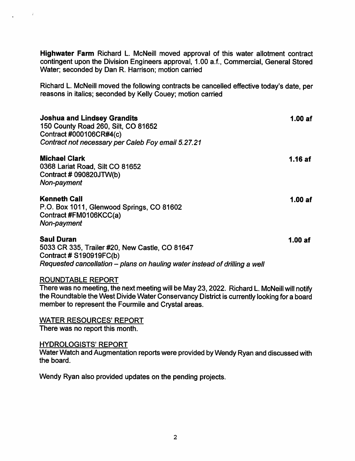Highwater Farm Richard L. McNeill moved approval of this water allotment contract contingent upon the Division Engineers approval, 1.00 a.f., Commercial, General Stored Water; seconded by Dan R. Harrison; motion carried

Richard L. McNeill moved the following contracts be cancelled effective today's date, per reasons in italics; seconded by Kelly Couey; motion carried

| <b>Joshua and Lindsey Grandits</b><br>150 County Road 260, Silt, CO 81652<br>Contract #000106CR#4(c)<br>Contract not necessary per Caleb Foy email 5.27.21                     | 1.00af  |
|--------------------------------------------------------------------------------------------------------------------------------------------------------------------------------|---------|
| <b>Michael Clark</b><br>0368 Lariat Road, Silt CO 81652<br>Contract # 090820JTW(b)<br>Non-payment                                                                              | 1.16 af |
| <b>Kenneth Call</b><br>P.O. Box 1011, Glenwood Springs, CO 81602<br>Contract #FM0106KCC(a)<br>Non-payment                                                                      | 1.00af  |
| <b>Saul Duran</b><br>5033 CR 335, Trailer #20, New Castle, CO 81647<br>Contract # $S190919FC(b)$<br>Requested cancellation - plans on hauling water instead of drilling a well | 1.00af  |
|                                                                                                                                                                                |         |

# ROUNDTABLE REPORT

There was no meeting, the next meeting will be May 23,2022. Richard L. McNeill will notify the Roundtable the West Divide Water Conservancy District is currently looking for a board member to represent the Fourmile and Crystal areas.

WATER RESOURCES' REPORT There was no report this month.

# HYDROLOGISTS' REPORT

Water Watch and Augmentation reports were provided by Wendy Ryan and discussed with the board.

Wendy Ryan also provided updates on the pending projects.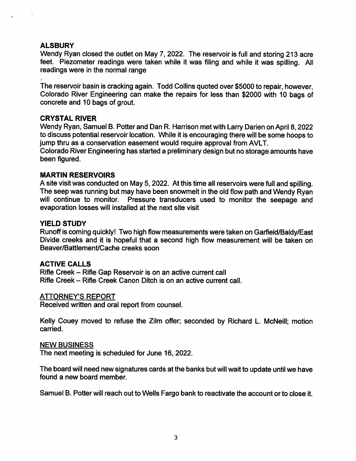# **ALSBURY**

Wendy Ryan closed the outlet on May 7, 2022. The reservoir is full and storing 213 acre feet. Piezometer readings were taken while it was filing and while it was spilling. All readings were in the normal range

The reservoir basin is cracking again. Todd Collins quoted over \$5000 to repair, however, Colorado River Engineering can make the repairs for less than \$2000 with 10 bags of concrete and 10 bags of grout.

# CRYSTAL RIVER

Wendy Ryan, Samuel B. Potter and Dan R. Harrison met with Larry Darien on April 8,2022 to discuss potential reservoir location. While it is encouraging there will be some hoops to jump thru as a conservation easement would require approval from AVLT.

Colorado River Engineering has started a preliminary design but no storage amounts have been figured.

# MARTIN RESERVOIRS

A site visit was conducted on May 5, 2022. At this time all reservoirs were full and spilling. The seep was running but may have been snowmelt in the old flow path and Wendy Ryan will continue to monitor. Pressure transducers used to monitor the seepage and evaporation losses will installed at the next site visit

# YIELD STUDY

Runoff is coming quickly! Two high flow measurements were taken on Garfield/Baldy/East Divide creeks and it is hopeful that a second high flow measurement will be taken on Beaver/Battlement/Cache creeks soon

# ACTIVE CALLS

Rifle Creek - Rifle Gap Reservoir is on an active current call Rifle Creek - Rifle Creek Canon Ditch is on an active current call.

# ATTORNEY'S REPORT

Received written and oral report from counsel.

Kelly Couey moved to refuse the Zilm offer; seconded by Richard L. McNeill; motion carried.

# NEW BUSINESS

The next meeting is scheduled for June 16, 2022.

The board will need new signatures cards at the banks but will wait to update until we have found a new board member.

Samuel B. Potter will reach out to Wells Fargo bank to reactivate the account or to close it.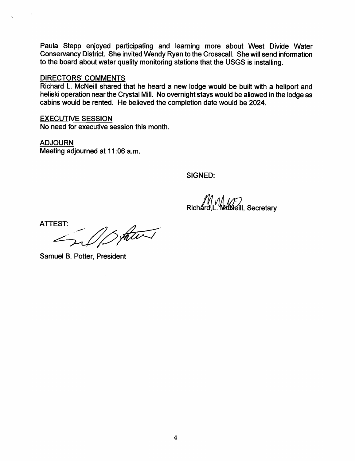Paula Stepp enjoyed participating and learning more about West Divide Water Conservancy District. She invited Wendy Ryan to the Crosscall. She will send information to the board about water quality monitoring stations that the USGS is installing.

### DIRECTORS' COMMENTS

Richard L. McNeill shared that he heard a new lodge would be built with a heliport and heliski operation near the Crystal Mill. No overnight stays would be allowed in the lodge as cabins would be rented. He believed the completion date would be 2024.

# EXECUTIVE SESSION

No need for executive session this month.

ADJOURN Meeting adjourned at 11:06 a.m.

SIGNED:

**Richard L. Modelli, Secretary** 

ATTEST:

Samuel B. Potter, President